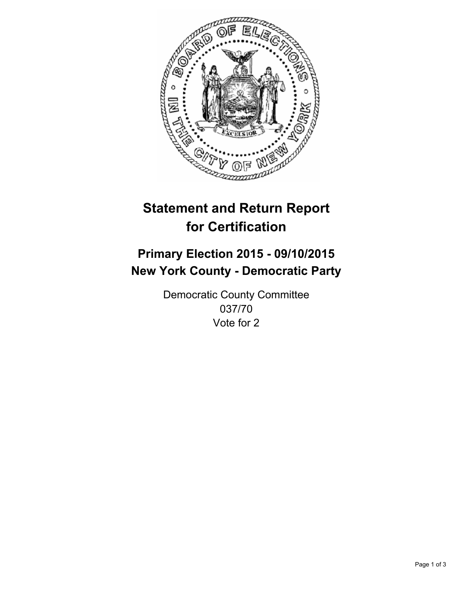

# **Statement and Return Report for Certification**

## **Primary Election 2015 - 09/10/2015 New York County - Democratic Party**

Democratic County Committee 037/70 Vote for 2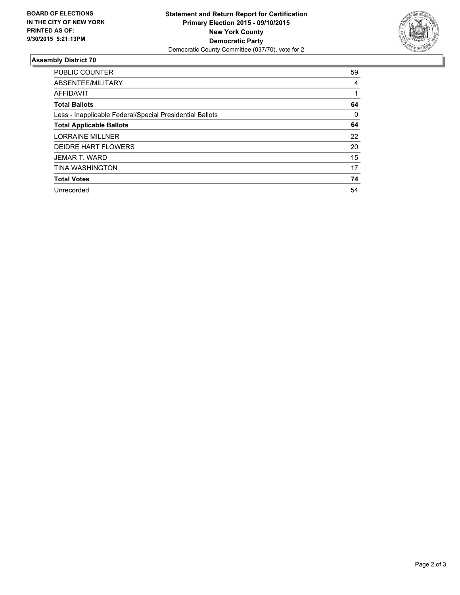

#### **Assembly District 70**

| <b>PUBLIC COUNTER</b>                                    | 59 |
|----------------------------------------------------------|----|
| ABSENTEE/MILITARY                                        | 4  |
| <b>AFFIDAVIT</b>                                         |    |
| <b>Total Ballots</b>                                     | 64 |
| Less - Inapplicable Federal/Special Presidential Ballots | 0  |
| <b>Total Applicable Ballots</b>                          | 64 |
| <b>LORRAINE MILLNER</b>                                  | 22 |
| <b>DEIDRE HART FLOWERS</b>                               | 20 |
| JEMAR T. WARD                                            | 15 |
| <b>TINA WASHINGTON</b>                                   | 17 |
| <b>Total Votes</b>                                       | 74 |
| Unrecorded                                               | 54 |